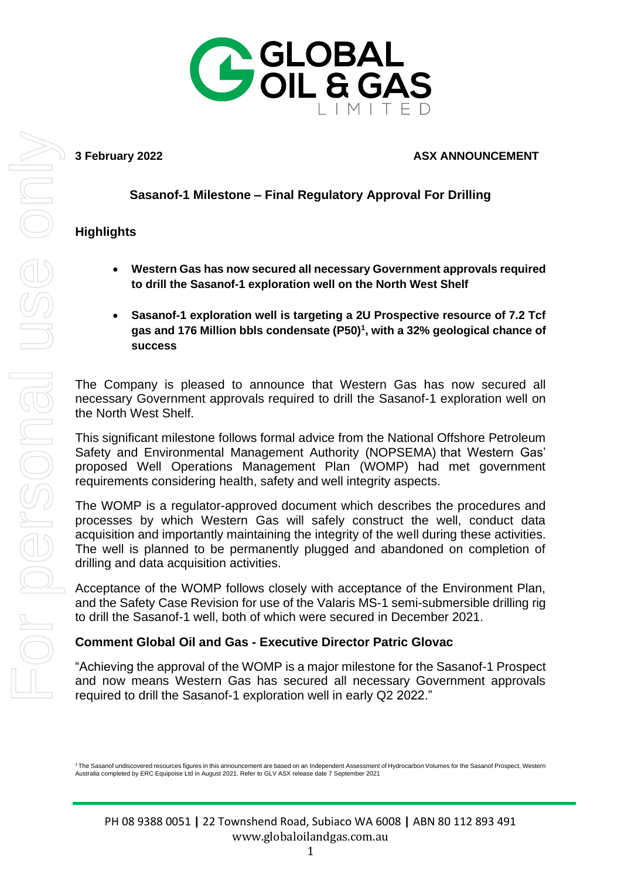

#### **3 February 2022 ASX ANNOUNCEMENT**

# **Sasanof-1 Milestone – Final Regulatory Approval For Drilling**

## **Highlights**

- **Western Gas has now secured all necessary Government approvals required to drill the Sasanof-1 exploration well on the North West Shelf**
- **Sasanof-1 exploration well is targeting a 2U Prospective resource of 7.2 Tcf gas and 176 Million bbls condensate (P50)<sup>1</sup> , with a 32% geological chance of success**

The Company is pleased to announce that Western Gas has now secured all necessary Government approvals required to drill the Sasanof-1 exploration well on the North West Shelf.

This significant milestone follows formal advice from the National Offshore Petroleum Safety and Environmental Management Authority (NOPSEMA) that Western Gas' proposed Well Operations Management Plan (WOMP) had met government requirements considering health, safety and well integrity aspects.

The WOMP is a regulator-approved document which describes the procedures and processes by which Western Gas will safely construct the well, conduct data acquisition and importantly maintaining the integrity of the well during these activities. The well is planned to be permanently plugged and abandoned on completion of drilling and data acquisition activities.

Acceptance of the WOMP follows closely with acceptance of the Environment Plan, and the Safety Case Revision for use of the Valaris MS-1 semi-submersible drilling rig to drill the Sasanof-1 well, both of which were secured in December 2021.

### **Comment Global Oil and Gas - Executive Director Patric Glovac**

"Achieving the approval of the WOMP is a major milestone for the Sasanof-1 Prospect and now means Western Gas has secured all necessary Government approvals required to drill the Sasanof-1 exploration well in early Q2 2022."

<sup>&</sup>lt;sup>1</sup> The Sasanof undiscovered resources figures in this announcement are based on an Independent Assessment of Hydrocarbon Volumes for the Sasanof Prospect, Western<br>Australia completed by ERC Equipoise Ltd in August 2021. R